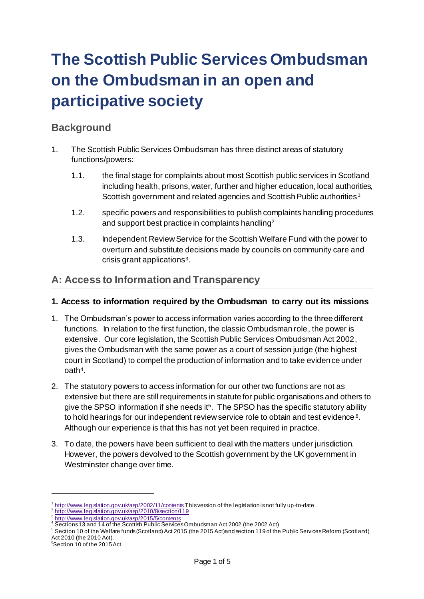# **The Scottish Public Services Ombudsman on the Ombudsman in an open and participative society**

# **Background**

- 1. The Scottish Public Services Ombudsman has three distinct areas of statutory functions/powers:
	- 1.1. the final stage for complaints about most Scottish public services in Scotland including health, prisons, water, further and higher education, local authorities, Scottish government and related agencies and Scottish Public authorities <sup>1</sup>
	- 1.2. specific powers and responsibilities to publish complaints handling procedures and support best practice in complaints handling<sup>2</sup>
	- 1.3. Independent Review Service for the Scottish Welfare Fund with the power to overturn and substitute decisions made by councils on community care and crisis grant applications<sup>3</sup>.

# **A: Access to Information and Transparency**

#### **1. Access to information required by the Ombudsman to carry out its missions**

- 1. The Ombudsman's power to access information varies according to the three different functions. In relation to the first function, the classic Ombudsman role, the power is extensive. Our core legislation, the Scottish Public Services Ombudsman Act 2002, gives the Ombudsman with the same power as a court of session judge (the highest court in Scotland) to compel the production of information and to take evidence under oath<sup>4</sup> .
- 2. The statutory powers to access information for our other two functions are not as extensive but there are still requirements in statute for public organisations and others to give the SPSO information if she needs it<sup>5</sup>. The SPSO has the specific statutory ability to hold hearings for our independent review service role to obtain and test evidence  $6$ . Although our experience is that this has not yet been required in practice.
- 3. To date, the powers have been sufficient to deal with the matters under jurisdiction. However, the powers devolved to the Scottish government by the UK government in Westminster change over time.

 $\overline{a}$ 

<sup>1</sup> <http://www.legislation.gov.uk/asp/2002/11/contents> This version of the legislation is not fully up-to-date.

<sup>2</sup> <http://www.legislation.gov.uk/asp/2010/8/section/119>

<sup>&</sup>lt;sup>3</sup> <http://www.legislation.gov.uk/asp/2015/5/contents><br><sup>4</sup> Sections 13 and 14 of the Scottish Public Services Ombudsman Act 2002 (the 2002 Act)

<sup>5</sup> Section 10 of the Welfare funds (Scotland) Act 2015 (the 2015 Act)and section 119 of the Public Services Reform (Scotland) Act 2010 (the 2010 Act).

<sup>6</sup>Section 10 of the 2015 Act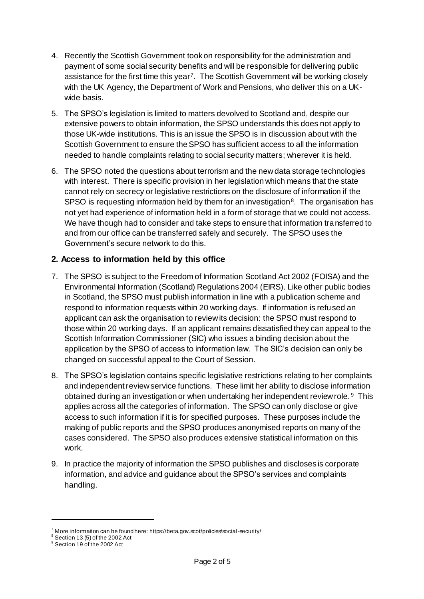- 4. Recently the Scottish Government took on responsibility for the administration and payment of some social security benefits and will be responsible for delivering public assistance for the first time this year<sup>7</sup>. The Scottish Government will be working closely with the UK Agency, the Department of Work and Pensions, who deliver this on a UKwide basis.
- 5. The SPSO's legislation is limited to matters devolved to Scotland and, despite our extensive powers to obtain information, the SPSO understands this does not apply to those UK-wide institutions. This is an issue the SPSO is in discussion about with the Scottish Government to ensure the SPSO has sufficient access to all the information needed to handle complaints relating to social security matters; wherever it is held.
- 6. The SPSO noted the questions about terrorism and the new data storage technologies with interest. There is specific provision in her legislation which means that the state cannot rely on secrecy or legislative restrictions on the disclosure of information if the SPSO is requesting information held by them for an investigation<sup>8</sup>. The organisation has not yet had experience of information held in a form of storage that we could not access. We have though had to consider and take steps to ensure that information transferred to and from our office can be transferred safely and securely. The SPSO uses the Government's secure network to do this.

## **2. Access to information held by this office**

- 7. The SPSO is subject to the Freedom of Information Scotland Act 2002 (FOISA) and the Environmental Information (Scotland) Regulations 2004 (EIRS). Like other public bodies in Scotland, the SPSO must publish information in line with a publication scheme and respond to information requests within 20 working days. If information is refused an applicant can ask the organisation to review its decision: the SPSO must respond to those within 20 working days. If an applicant remains dissatisfied they can appeal to the Scottish Information Commissioner (SIC) who issues a binding decision about the application by the SPSO of access to information law. The SIC's decision can only be changed on successful appeal to the Court of Session.
- 8. The SPSO's legislation contains specific legislative restrictions relating to her complaints and independent review service functions. These limit her ability to disclose information obtained during an investigation or when undertaking her independent review role.<sup>9</sup> This applies across all the categories of information. The SPSO can only disclose or give access to such information if it is for specified purposes. These purposes include the making of public reports and the SPSO produces anonymised reports on many of the cases considered. The SPSO also produces extensive statistical information on this work.
- 9. In practice the majority of information the SPSO publishes and discloses is corporate information, and advice and guidance about the SPSO's services and complaints handling.

l

 $7$  More information can be found here: https://beta.gov.scot/policies/social-security/

 $^8$  Section 13 (5) of the 2002 Act

<sup>9</sup> Section 19 of the 2002 Act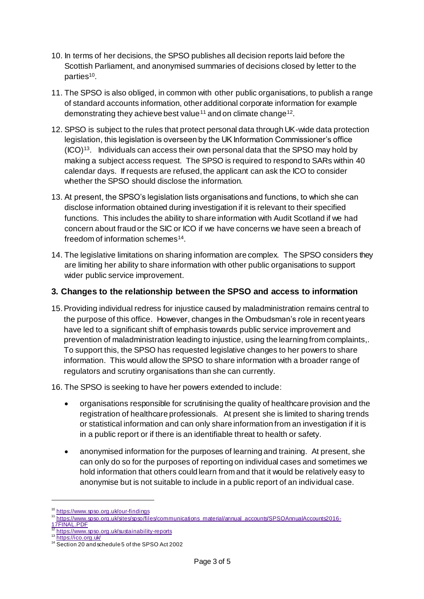- 10. In terms of her decisions, the SPSO publishes all decision reports laid before the Scottish Parliament, and anonymised summaries of decisions closed by letter to the parties<sup>10</sup>.
- 11. The SPSO is also obliged, in common with other public organisations, to publish a range of standard accounts information, other additional corporate information for example demonstrating they achieve best value<sup>11</sup> and on climate change<sup>12</sup>.
- 12. SPSO is subject to the rules that protect personal data through UK-wide data protection legislation, this legislation is overseen by the UK Information Commissioner's office  $(ICO)<sup>13</sup>$ . Individuals can access their own personal data that the SPSO may hold by making a subject access request. The SPSO is required to respond to SARs within 40 calendar days. If requests are refused, the applicant can ask the ICO to consider whether the SPSO should disclose the information.
- 13. At present, the SPSO's legislation lists organisations and functions, to which she can disclose information obtained during investigation if it is relevant to their specified functions. This includes the ability to share information with Audit Scotland if we had concern about fraud or the SIC or ICO if we have concerns we have seen a breach of freedom of information schemes<sup>14</sup>.
- 14. The legislative limitations on sharing information are complex. The SPSO considers they are limiting her ability to share information with other public organisations to support wider public service improvement.

### **3. Changes to the relationship between the SPSO and access to information**

- 15.Providing individual redress for injustice caused by maladministration remains central to the purpose of this office. However, changes in the Ombudsman's role in recent years have led to a significant shift of emphasis towards public service improvement and prevention of maladministration leading to injustice, using the learning from complaints,. To support this, the SPSO has requested legislative changes to her powers to share information. This would allow the SPSO to share information with a broader range of regulators and scrutiny organisations than she can currently.
- 16. The SPSO is seeking to have her powers extended to include:
	- organisations responsible for scrutinising the quality of healthcare provision and the registration of healthcare professionals. At present she is limited to sharing trends or statistical information and can only share information from an investigation if it is in a public report or if there is an identifiable threat to health or safety.
	- anonymised information for the purposes of learning and training. At present, she can only do so for the purposes of reporting on individual cases and sometimes we hold information that others could learn from and that it would be relatively easy to anonymise but is not suitable to include in a public report of an individual case.

l

<sup>&</sup>lt;sup>0</sup> <https://www.spso.org.uk/our-findings>

<sup>11</sup> [https://www.spso.org.uk/sites/spso/files/communications\\_material/annual\\_accounts/SPSOAnnualAccounts2016-](https://www.spso.org.uk/sites/spso/files/communications_material/annual_accounts/SPSOAnnualAccounts2016-17FINAL.PDF)

[<sup>17</sup>FINAL.PDF](https://www.spso.org.uk/sites/spso/files/communications_material/annual_accounts/SPSOAnnualAccounts2016-17FINAL.PDF)

<https://www.spso.org.uk/sustainability-reports> <sup>13</sup> <https://ico.org.uk/>

<sup>&</sup>lt;sup>14</sup> Section 20 and schedule 5 of the SPSO Act 2002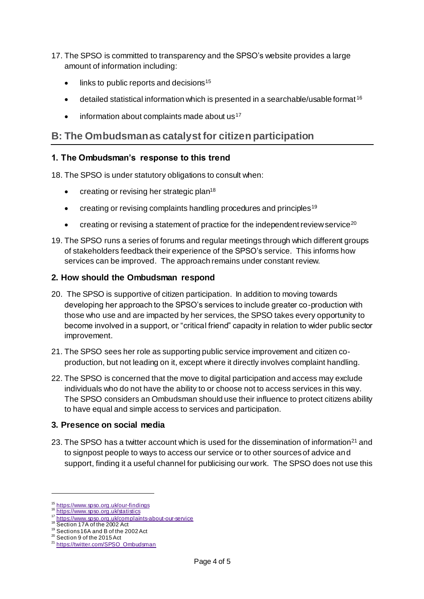- 17. The SPSO is committed to transparency and the SPSO's website provides a large amount of information including:
	- $\bullet$  links to public reports and decisions<sup>15</sup>
	- detailed statistical information which is presented in a searchable/usable format <sup>16</sup>
	- $\bullet$  information about complaints made about us<sup>17</sup>

# **B: The Ombudsman as catalyst for citizen participation**

#### **1. The Ombudsman's response to this trend**

18. The SPSO is under statutory obligations to consult when:

- creating or revising her strategic plan<sup>18</sup>
- creating or revising complaints handling procedures and principles<sup>19</sup>
- creating or revising a statement of practice for the independent review service<sup>20</sup>
- 19. The SPSO runs a series of forums and regular meetings through which different groups of stakeholders feedback their experience of the SPSO's service. This informs how services can be improved. The approach remains under constant review.

#### **2. How should the Ombudsman respond**

- 20. The SPSO is supportive of citizen participation. In addition to moving towards developing her approach to the SPSO's services to include greater co-production with those who use and are impacted by her services, the SPSO takes every opportunity to become involved in a support, or "critical friend" capacity in relation to wider public sector improvement.
- 21. The SPSO sees her role as supporting public service improvement and citizen coproduction, but not leading on it, except where it directly involves complaint handling.
- 22. The SPSO is concerned that the move to digital participation and access may exclude individuals who do not have the ability to or choose not to access services in this way. The SPSO considers an Ombudsman should use their influence to protect citizens ability to have equal and simple access to services and participation.

#### **3. Presence on social media**

23. The SPSO has a twitter account which is used for the dissemination of information<sup>21</sup> and to signpost people to ways to access our service or to other sources of advice and support, finding it a useful channel for publicising our work. The SPSO does not use this

 $\overline{a}$ 

<sup>&</sup>lt;sup>15</sup> <https://www.spso.org.uk/our-findings>

<sup>&</sup>lt;sup>16</sup> <https://www.spso.org.uk/statistics>

<sup>&</sup>lt;sup>17</sup> <https://www.spso.org.uk/complaints-about-our-service>

<sup>&</sup>lt;sup>18</sup> Section 17A of the 2002 Act <sup>19</sup> Sections 16A and B of the 2002 Act

<sup>&</sup>lt;sup>20</sup> Section 9 of the 2015 Act

<sup>&</sup>lt;sup>21</sup> [https://twitter.com/SPSO\\_Ombudsman](https://twitter.com/SPSO_Ombudsman)